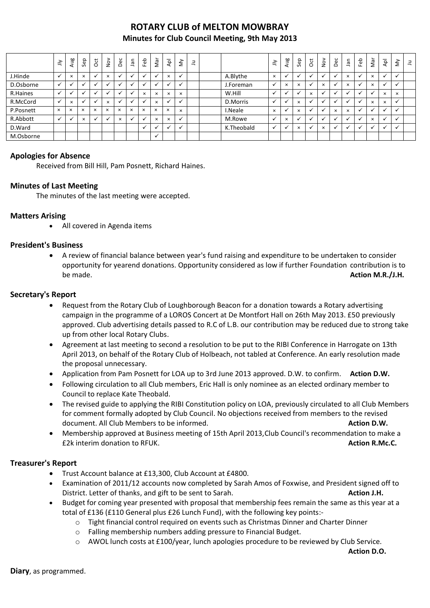# **ROTARY CLUB of MELTON MOWBRAY Minutes for Club Council Meeting, 9th May 2013**

|           | $\tilde{=}$  | Aug                      | Sep          | $\overline{\mathrm{c}}$ | $\frac{8}{2}$ | Dec                  | <b>Jan</b> | Feb      | Nar      | ЪЪ       | $\tilde{\Sigma}$     | ₹ |            | ≧        | Ρã<br>ਟਾ | ep<br>$\sim$ | ğ         | $\stackrel{\textstyle\sim}{\textstyle\sim}$ | Dec                  | 등<br>⊸   | Feb | Nar      | $\overline{A}$       | $\hat{\Sigma}$ | $\exists$ |
|-----------|--------------|--------------------------|--------------|-------------------------|---------------|----------------------|------------|----------|----------|----------|----------------------|---|------------|----------|----------|--------------|-----------|---------------------------------------------|----------------------|----------|-----|----------|----------------------|----------------|-----------|
| J.Hinde   |              | $\times$                 | $\times$     |                         | $\times$      |                      |            |          |          | $\times$ | $\ddot{\phantom{0}}$ |   | A.Blythe   | $\times$ |          |              |           |                                             | ü                    | $\times$ |     | $\times$ |                      |                |           |
| D.Osborne |              |                          |              |                         |               |                      |            |          |          |          | <b>M</b>             |   | J.Foreman  |          | $\times$ | $\times$     |           | $\times$                                    | $\ddot{\phantom{0}}$ | $\times$ |     | $\times$ |                      |                |           |
| R.Haines  | $\checkmark$ | $\overline{\phantom{a}}$ |              | $\ddot{\phantom{0}}$    | ╰             | $\ddot{\phantom{0}}$ |            | $\times$ | $\times$ | $\times$ | $\times$             |   | W.Hill     |          |          |              | $\times$  |                                             | $\ddot{\phantom{0}}$ |          |     |          | $\times$             | $\times$       |           |
| R.McCord  | $\checkmark$ | $\times$                 | $\checkmark$ |                         | $\times$      |                      |            |          | $\times$ |          | $\ddot{\phantom{0}}$ |   | D.Morris   |          |          | $\times$     | $\bullet$ |                                             | <b>N</b>             |          |     | $\times$ | $\times$             |                |           |
| P.Posnett | $\times$     | $\times$                 | $\times$     | $\times$                | $\times$      | $\times$             | $\times$   | $\times$ | $\times$ | $\times$ | $\times$             |   | I.Neale    | $\times$ |          | $\times$     |           |                                             | $\times$             | $\times$ |     |          | $\ddot{\phantom{0}}$ |                |           |
| R.Abbott  | $\checkmark$ |                          | $\times$     |                         |               | $\times$             |            |          | $\times$ | $\times$ | v                    |   | M.Rowe     |          | $\times$ |              |           |                                             |                      |          |     | $\times$ |                      |                |           |
| D.Ward    |              |                          |              |                         |               |                      |            |          |          |          | $\ddot{\phantom{0}}$ |   | K.Theobald |          |          | $\times$     |           | $\times$                                    | $\ddot{\phantom{0}}$ |          |     |          |                      |                |           |
| M.Osborne |              |                          |              |                         |               |                      |            |          |          |          |                      |   |            |          |          |              |           |                                             |                      |          |     |          |                      |                |           |

### **Apologies for Absence**

Received from Bill Hill, Pam Posnett, Richard Haines.

### **Minutes of Last Meeting**

The minutes of the last meeting were accepted.

#### **Matters Arising**

All covered in Agenda items

#### **President's Business**

 A review of financial balance between year's fund raising and expenditure to be undertaken to consider opportunity for yearend donations. Opportunity considered as low if further Foundation contribution is to be made. **Action M.R./J.H.**

#### **Secretary's Report**

- Request from the Rotary Club of Loughborough Beacon for a donation towards a Rotary advertising campaign in the programme of a LOROS Concert at De Montfort Hall on 26th May 2013. £50 previously approved. Club advertising details passed to R.C of L.B. our contribution may be reduced due to strong take up from other local Rotary Clubs.
- Agreement at last meeting to second a resolution to be put to the RIBI Conference in Harrogate on 13th April 2013, on behalf of the Rotary Club of Holbeach, not tabled at Conference. An early resolution made the proposal unnecessary.
- Application from Pam Posnett for LOA up to 3rd June 2013 approved. D.W. to confirm. **Action D.W.**
- Following circulation to all Club members, Eric Hall is only nominee as an elected ordinary member to Council to replace Kate Theobald.
- The revised guide to applying the RIBI Constitution policy on LOA, previously circulated to all Club Members for comment formally adopted by Club Council. No objections received from members to the revised document. All Club Members to be informed. **Action D.W. Action D.W.**
- Membership approved at Business meeting of 15th April 2013,Club Council's recommendation to make a £2k interim donation to RFUK. **Action R.Mc.C.**

## **Treasurer's Report**

- Trust Account balance at £13,300, Club Account at £4800.
- Examination of 2011/12 accounts now completed by Sarah Amos of Foxwise, and President signed off to District. Letter of thanks, and gift to be sent to Sarah. **Action J.H. Action J.H.**
- Budget for coming year presented with proposal that membership fees remain the same as this year at a total of £136 (£110 General plus £26 Lunch Fund), with the following key points:
	- o Tight financial control required on events such as Christmas Dinner and Charter Dinner
	- o Falling membership numbers adding pressure to Financial Budget.
	- $\circ$  AWOL lunch costs at £100/year, lunch apologies procedure to be reviewed by Club Service.

**Action D.O.**